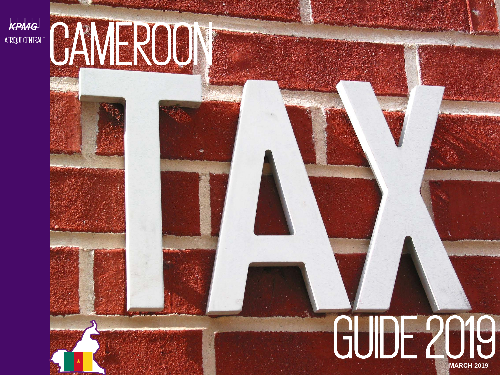kpmg AFRIQUE CENTRALE

# CAMEROON

kpmg.fr

# **MARCH 2019** GUIDE 2019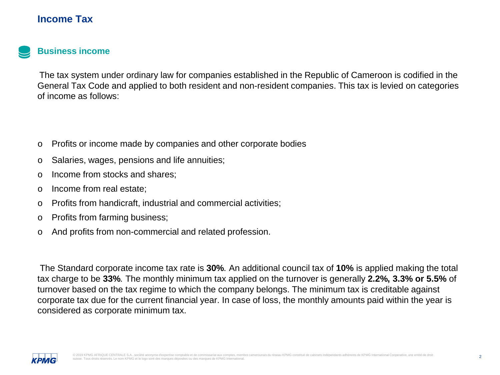#### **Income Tax**



#### **Business income**

The tax system under ordinary law for companies established in the Republic of Cameroon is codified in the General Tax Code and applied to both resident and non-resident companies. This tax is levied on categories of income as follows:

- o Profits or income made by companies and other corporate bodies
- o Salaries, wages, pensions and life annuities;
- o Income from stocks and shares;
- o Income from real estate;
- o Profits from handicraft, industrial and commercial activities;
- o Profits from farming business;
- o And profits from non-commercial and related profession.

The Standard corporate income tax rate is **30%**. An additional council tax of **10%** is applied making the total tax charge to be **33%**. The monthly minimum tax applied on the turnover is generally **2.2%, 3.3% or 5.5%** of turnover based on the tax regime to which the company belongs. The minimum tax is creditable against corporate tax due for the current financial year. In case of loss, the monthly amounts paid within the year is considered as corporate minimum tax.

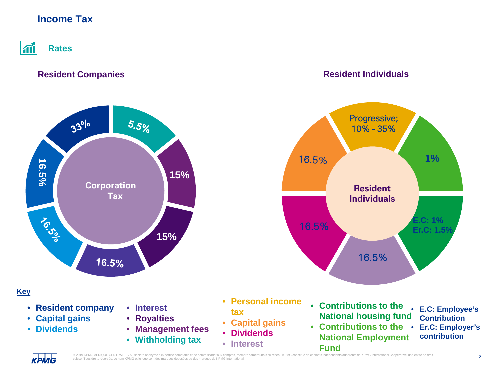# **Income Tax**

#### $|\mathbf{m}|$ **Rates**

#### **Resident Companies Resident Individuals**

**Resident Individuals**

16.5%

Progressive; 10% - 35%



• **Personal income tax**

16.5%

16.5%

- **Capital gains**
- **Dividends**
- **Interest**
- **Contributions to the National housing fund**
	- **E.C: Employee's Contribution**

**E.C: 1% Er.C: 1.5%**

**1%**

- **Contributions to the Er.C: Employer's National Employment Fund**
- - **contribution**

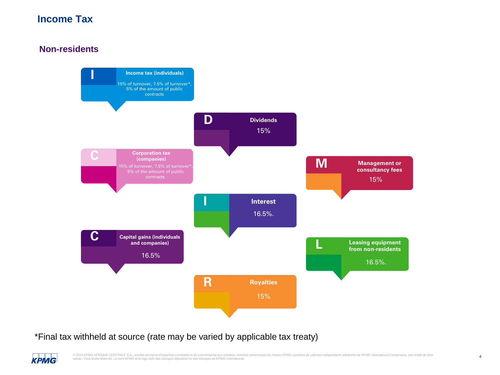# **Income Tax**

#### **Non-residents**



\*Final tax withheld at source (rate may be varied by applicable tax treaty)

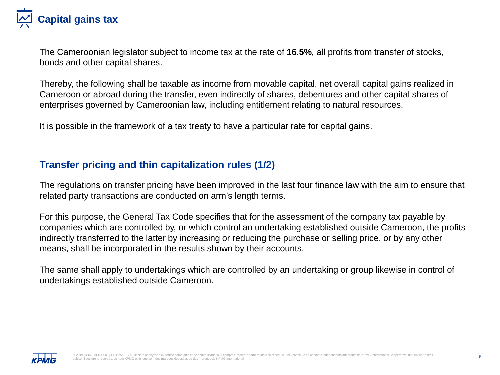

The Cameroonian legislator subject to income tax at the rate of **16.5%**, all profits from transfer of stocks, bonds and other capital shares.

Thereby, the following shall be taxable as income from movable capital, net overall capital gains realized in Cameroon or abroad during the transfer, even indirectly of shares, debentures and other capital shares of enterprises governed by Cameroonian law, including entitlement relating to natural resources.

It is possible in the framework of a tax treaty to have a particular rate for capital gains.

### **Transfer pricing and thin capitalization rules (1/2)**

The regulations on transfer pricing have been improved in the last four finance law with the aim to ensure that related party transactions are conducted on arm's length terms.

For this purpose, the General Tax Code specifies that for the assessment of the company tax payable by companies which are controlled by, or which control an undertaking established outside Cameroon, the profits indirectly transferred to the latter by increasing or reducing the purchase or selling price, or by any other means, shall be incorporated in the results shown by their accounts.

The same shall apply to undertakings which are controlled by an undertaking or group likewise in control of undertakings established outside Cameroon.

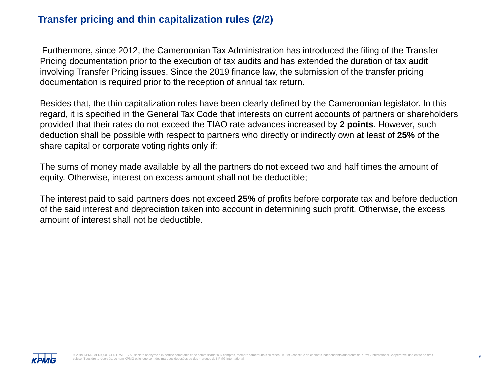### **Transfer pricing and thin capitalization rules (2/2)**

Furthermore, since 2012, the Cameroonian Tax Administration has introduced the filing of the Transfer Pricing documentation prior to the execution of tax audits and has extended the duration of tax audit involving Transfer Pricing issues. Since the 2019 finance law, the submission of the transfer pricing documentation is required prior to the reception of annual tax return.

Besides that, the thin capitalization rules have been clearly defined by the Cameroonian legislator. In this regard, it is specified in the General Tax Code that interests on current accounts of partners or shareholders provided that their rates do not exceed the TIAO rate advances increased by **2 points**. However, such deduction shall be possible with respect to partners who directly or indirectly own at least of **25%** of the share capital or corporate voting rights only if:

The sums of money made available by all the partners do not exceed two and half times the amount of equity. Otherwise, interest on excess amount shall not be deductible;

The interest paid to said partners does not exceed **25%** of profits before corporate tax and before deduction of the said interest and depreciation taken into account in determining such profit. Otherwise, the excess amount of interest shall not be deductible.

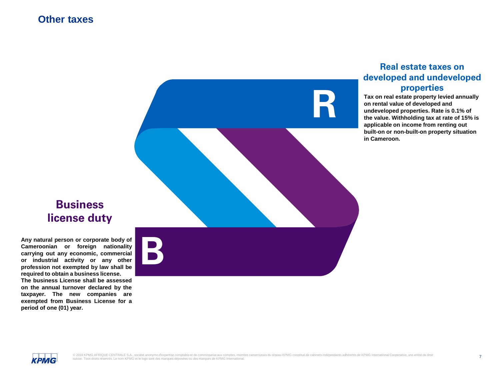#### **Other taxes**



#### **Real estate taxes on developed and undeveloped properties**

**Tax on real estate property levied annually on rental value of developed and undeveloped properties. Rate is 0.1% of the value. Withholding tax at rate of 15% is applicable on income from renting out built-on or non-built-on property situation in Cameroon.**

# **Business license duty**

**B Any natural person or corporate body of Cameroonian or foreign nationality carrying out any economic, commercial or industrial activity or any other profession not exempted by law shall be required to obtain a business license. The business License shall be assessed on the annual turnover declared by the taxpayer. The new companies are exempted from Business License for a period of one (01) year.**

КРМG

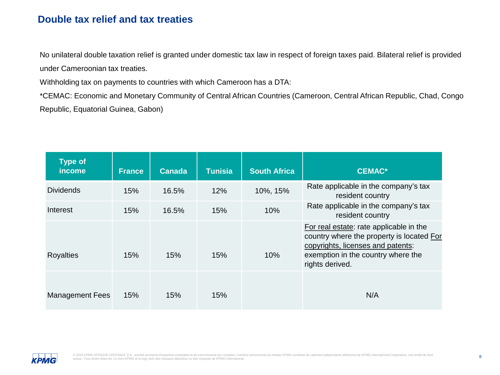#### **Double tax relief and tax treaties**

No unilateral double taxation relief is granted under domestic tax law in respect of foreign taxes paid. Bilateral relief is provided under Cameroonian tax treaties.

Withholding tax on payments to countries with which Cameroon has a DTA:

\*CEMAC: Economic and Monetary Community of Central African Countries (Cameroon, Central African Republic, Chad, Congo Republic, Equatorial Guinea, Gabon)

| <b>Type of</b><br>income | <b>France</b> | <b>Canada</b> | <b>Tunisia</b> | <b>South Africa</b> | <b>CEMAC*</b>                                                                                                                                                                      |
|--------------------------|---------------|---------------|----------------|---------------------|------------------------------------------------------------------------------------------------------------------------------------------------------------------------------------|
| <b>Dividends</b>         | 15%           | 16.5%         | 12%            | 10%, 15%            | Rate applicable in the company's tax<br>resident country                                                                                                                           |
| Interest                 | 15%           | 16.5%         | 15%            | 10%                 | Rate applicable in the company's tax<br>resident country                                                                                                                           |
| <b>Royalties</b>         | 15%           | 15%           | 15%            | 10%                 | For real estate: rate applicable in the<br>country where the property is located For<br>copyrights, licenses and patents:<br>exemption in the country where the<br>rights derived. |
| <b>Management Fees</b>   | 15%           | 15%           | 15%            |                     | N/A                                                                                                                                                                                |

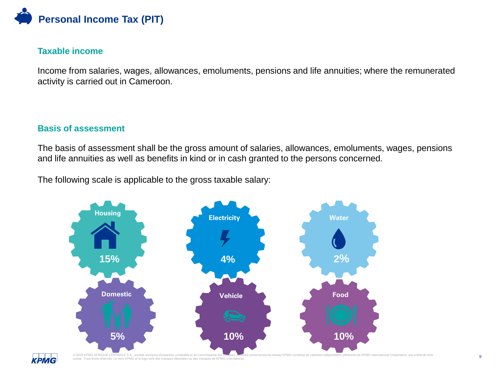

#### **Taxable income**

Income from salaries, wages, allowances, emoluments, pensions and life annuities; where the remunerated activity is carried out in Cameroon.

#### **Basis of assessment**

The basis of assessment shall be the gross amount of salaries, allowances, emoluments, wages, pensions and life annuities as well as benefits in kind or in cash granted to the persons concerned.

The following scale is applicable to the gross taxable salary:



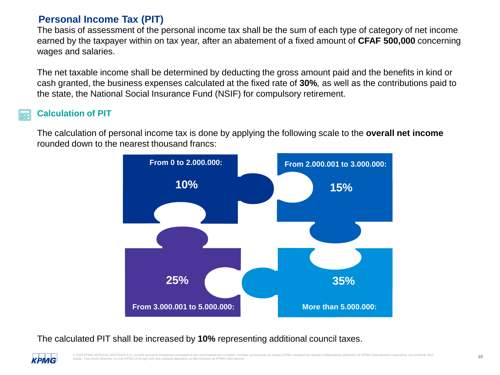# **Personal Income Tax (PIT)**

The basis of assessment of the personal income tax shall be the sum of each type of category of net income earned by the taxpayer within on tax year, after an abatement of a fixed amount of **CFAF 500,000** concerning wages and salaries.

The net taxable income shall be determined by deducting the gross amount paid and the benefits in kind or cash granted, the business expenses calculated at the fixed rate of **30%**, as well as the contributions paid to the state, the National Social Insurance Fund (NSIF) for compulsory retirement.

#### **Calculation of PIT**

КРМG

The calculation of personal income tax is done by applying the following scale to the **overall net income**  rounded down to the nearest thousand francs:



#### The calculated PIT shall be increased by **10%** representing additional council taxes.

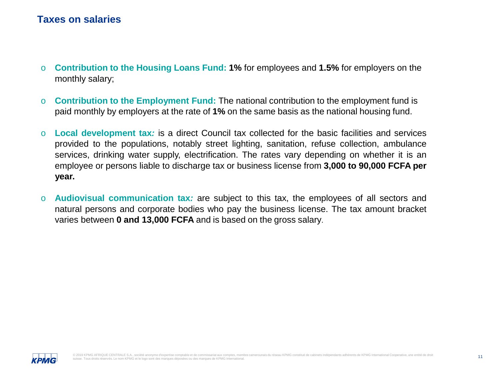#### **Taxes on salaries**

- o **Contribution to the Housing Loans Fund: 1%** for employees and **1.5%** for employers on the monthly salary;
- o **Contribution to the Employment Fund:** The national contribution to the employment fund is paid monthly by employers at the rate of **1%** on the same basis as the national housing fund.
- o **Local development tax***:* is a direct Council tax collected for the basic facilities and services provided to the populations, notably street lighting, sanitation, refuse collection, ambulance services, drinking water supply, electrification. The rates vary depending on whether it is an employee or persons liable to discharge tax or business license from **3,000 to 90,000 FCFA per year.**
- o **Audiovisual communication tax***:* are subject to this tax, the employees of all sectors and natural persons and corporate bodies who pay the business license. The tax amount bracket varies between **0 and 13,000 FCFA** and is based on the gross salary.

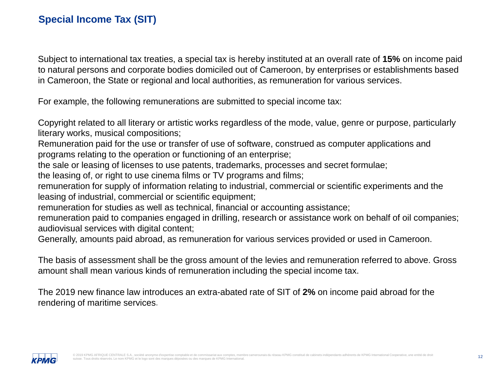Subject to international tax treaties, a special tax is hereby instituted at an overall rate of **15%** on income paid to natural persons and corporate bodies domiciled out of Cameroon, by enterprises or establishments based in Cameroon, the State or regional and local authorities, as remuneration for various services.

For example, the following remunerations are submitted to special income tax:

Copyright related to all literary or artistic works regardless of the mode, value, genre or purpose, particularly literary works, musical compositions;

Remuneration paid for the use or transfer of use of software, construed as computer applications and programs relating to the operation or functioning of an enterprise;

the sale or leasing of licenses to use patents, trademarks, processes and secret formulae;

the leasing of, or right to use cinema films or TV programs and films;

remuneration for supply of information relating to industrial, commercial or scientific experiments and the leasing of industrial, commercial or scientific equipment;

remuneration for studies as well as technical, financial or accounting assistance;

remuneration paid to companies engaged in drilling, research or assistance work on behalf of oil companies; audiovisual services with digital content;

Generally, amounts paid abroad, as remuneration for various services provided or used in Cameroon.

The basis of assessment shall be the gross amount of the levies and remuneration referred to above. Gross amount shall mean various kinds of remuneration including the special income tax.

The 2019 new finance law introduces an extra-abated rate of SIT of **2%** on income paid abroad for the rendering of maritime services.

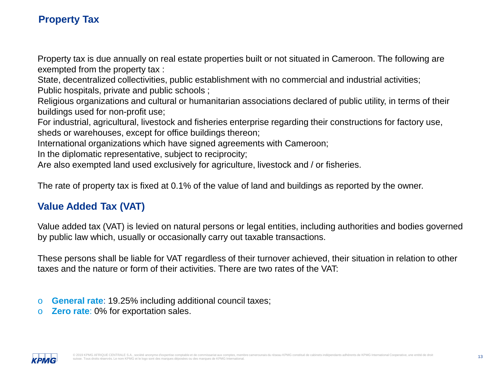# **Property Tax**

Property tax is due annually on real estate properties built or not situated in Cameroon. The following are exempted from the property tax :

State, decentralized collectivities, public establishment with no commercial and industrial activities; Public hospitals, private and public schools ;

Religious organizations and cultural or humanitarian associations declared of public utility, in terms of their buildings used for non-profit use;

For industrial, agricultural, livestock and fisheries enterprise regarding their constructions for factory use, sheds or warehouses, except for office buildings thereon;

International organizations which have signed agreements with Cameroon;

In the diplomatic representative, subject to reciprocity;

Are also exempted land used exclusively for agriculture, livestock and / or fisheries.

The rate of property tax is fixed at 0.1% of the value of land and buildings as reported by the owner.

# **Value Added Tax (VAT)**

Value added tax (VAT) is levied on natural persons or legal entities, including authorities and bodies governed by public law which, usually or occasionally carry out taxable transactions.

These persons shall be liable for VAT regardless of their turnover achieved, their situation in relation to other taxes and the nature or form of their activities. There are two rates of the VAT:

- o **General rate**: 19.25% including additional council taxes;
- o **Zero rate**: 0% for exportation sales.

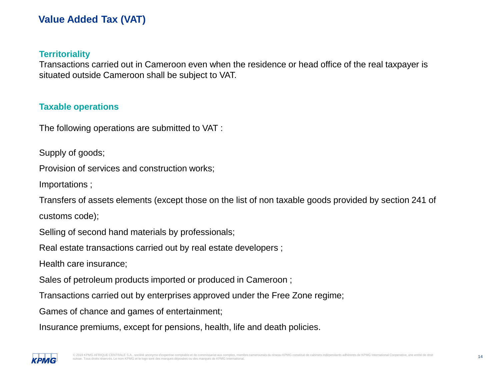# **Value Added Tax (VAT)**

#### **Territoriality**

Transactions carried out in Cameroon even when the residence or head office of the real taxpayer is situated outside Cameroon shall be subject to VAT.

#### **Taxable operations**

The following operations are submitted to VAT :

Supply of goods;

Provision of services and construction works;

Importations ;

Transfers of assets elements (except those on the list of non taxable goods provided by section 241 of customs code);

Selling of second hand materials by professionals;

Real estate transactions carried out by real estate developers ;

Health care insurance;

Sales of petroleum products imported or produced in Cameroon ;

Transactions carried out by enterprises approved under the Free Zone regime;

Games of chance and games of entertainment;

Insurance premiums, except for pensions, health, life and death policies.

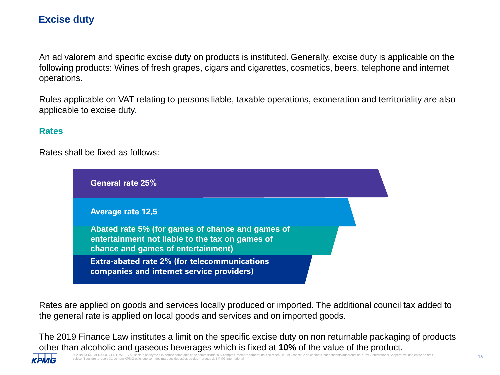# **Excise duty**

An ad valorem and specific excise duty on products is instituted. Generally, excise duty is applicable on the following products: Wines of fresh grapes, cigars and cigarettes, cosmetics, beers, telephone and internet operations.

Rules applicable on VAT relating to persons liable, taxable operations, exoneration and territoriality are also applicable to excise duty.

#### **Rates**

Rates shall be fixed as follows:



Rates are applied on goods and services locally produced or imported. The additional council tax added to the general rate is applied on local goods and services and on imported goods.

The 2019 Finance Law institutes a limit on the specific excise duty on non returnable packaging of products other than alcoholic and gaseous beverages which is fixed at **10%** of the value of the product.

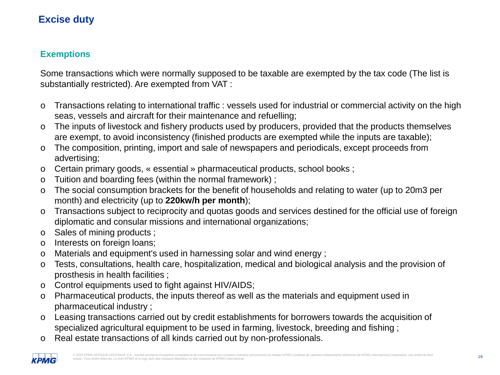# **Excise duty**

#### **Exemptions**

Some transactions which were normally supposed to be taxable are exempted by the tax code (The list is substantially restricted). Are exempted from VAT :

- o Transactions relating to international traffic : vessels used for industrial or commercial activity on the high seas, vessels and aircraft for their maintenance and refuelling;
- o The inputs of livestock and fishery products used by producers, provided that the products themselves are exempt, to avoid inconsistency (finished products are exempted while the inputs are taxable);
- o The composition, printing, import and sale of newspapers and periodicals, except proceeds from advertising;
- o Certain primary goods, « essential » pharmaceutical products, school books ;
- o Tuition and boarding fees (within the normal framework) ;
- o The social consumption brackets for the benefit of households and relating to water (up to 20m3 per month) and electricity (up to **220kw/h per month**);
- o Transactions subject to reciprocity and quotas goods and services destined for the official use of foreign diplomatic and consular missions and international organizations;
- o Sales of mining products ;
- o Interests on foreign loans;
- o Materials and equipment's used in harnessing solar and wind energy ;
- o Tests, consultations, health care, hospitalization, medical and biological analysis and the provision of prosthesis in health facilities ;
- o Control equipments used to fight against HIV/AIDS;
- o Pharmaceutical products, the inputs thereof as well as the materials and equipment used in pharmaceutical industry ;
- o Leasing transactions carried out by credit establishments for borrowers towards the acquisition of specialized agricultural equipment to be used in farming, livestock, breeding and fishing ;
- o Real estate transactions of all kinds carried out by non-professionals.

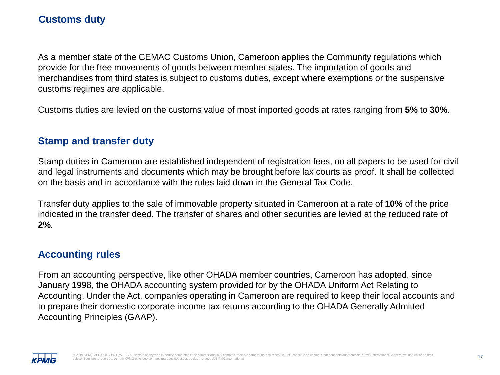As a member state of the CEMAC Customs Union, Cameroon applies the Community regulations which provide for the free movements of goods between member states. The importation of goods and merchandises from third states is subject to customs duties, except where exemptions or the suspensive customs regimes are applicable.

Customs duties are levied on the customs value of most imported goods at rates ranging from **5%** to **30%**.

### **Stamp and transfer duty**

Stamp duties in Cameroon are established independent of registration fees, on all papers to be used for civil and legal instruments and documents which may be brought before lax courts as proof. It shall be collected on the basis and in accordance with the rules laid down in the General Tax Code.

Transfer duty applies to the sale of immovable property situated in Cameroon at a rate of **10%** of the price indicated in the transfer deed. The transfer of shares and other securities are levied at the reduced rate of **2%**.

# **Accounting rules**

From an accounting perspective, like other OHADA member countries, Cameroon has adopted, since January 1998, the OHADA accounting system provided for by the OHADA Uniform Act Relating to Accounting. Under the Act, companies operating in Cameroon are required to keep their local accounts and to prepare their domestic corporate income tax returns according to the OHADA Generally Admitted Accounting Principles (GAAP).

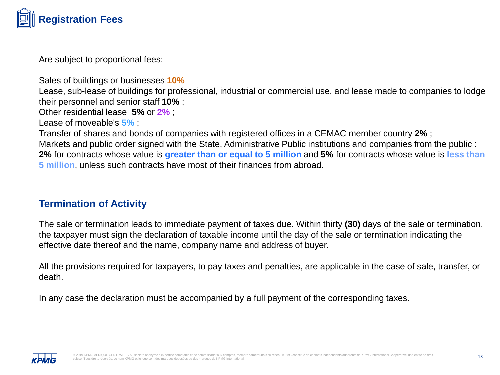

Are subject to proportional fees:

Sales of buildings or businesses **10%**

Lease, sub-lease of buildings for professional, industrial or commercial use, and lease made to companies to lodge their personnel and senior staff **10%** ;

Other residential lease **5%** or **2%** ;

Lease of moveable's **5%** ;

Transfer of shares and bonds of companies with registered offices in a CEMAC member country **2%** ;

Markets and public order signed with the State, Administrative Public institutions and companies from the public : **2%** for contracts whose value is **greater than or equal to 5 million** and **5%** for contracts whose value is **less than 5 million**, unless such contracts have most of their finances from abroad.

#### **Termination of Activity**

The sale or termination leads to immediate payment of taxes due. Within thirty **(30)** days of the sale or termination, the taxpayer must sign the declaration of taxable income until the day of the sale or termination indicating the effective date thereof and the name, company name and address of buyer.

All the provisions required for taxpayers, to pay taxes and penalties, are applicable in the case of sale, transfer, or death.

In any case the declaration must be accompanied by a full payment of the corresponding taxes.

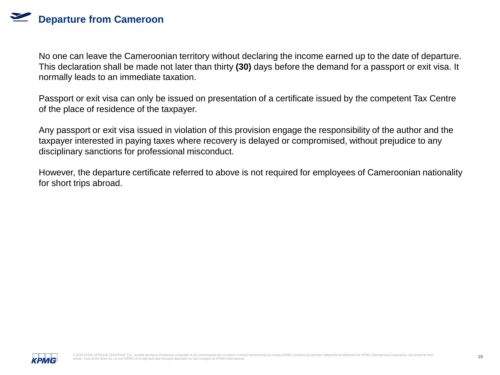No one can leave the Cameroonian territory without declaring the income earned up to the date of departure. This declaration shall be made not later than thirty **(30)** days before the demand for a passport or exit visa. It normally leads to an immediate taxation.

Passport or exit visa can only be issued on presentation of a certificate issued by the competent Tax Centre of the place of residence of the taxpayer.

Any passport or exit visa issued in violation of this provision engage the responsibility of the author and the taxpayer interested in paying taxes where recovery is delayed or compromised, without prejudice to any disciplinary sanctions for professional misconduct.

However, the departure certificate referred to above is not required for employees of Cameroonian nationality for short trips abroad.

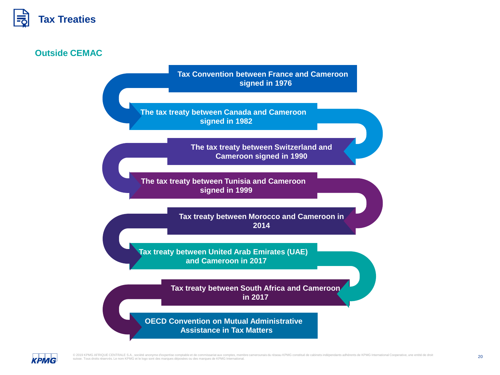

#### **Outside CEMAC**

**Tax Convention between France and Cameroon signed in 1976**

**The tax treaty between Canada and Cameroon signed in 1982**

> **The tax treaty between Switzerland and Cameroon signed in 1990**

**The tax treaty between Tunisia and Cameroon signed in 1999**

> **Tax treaty between Morocco and Cameroon in 2014**

**Tax treaty between United Arab Emirates (UAE) and Cameroon in 2017**

> **Tax treaty between South Africa and Cameroon in 2017**

**OECD Convention on Mutual Administrative Assistance in Tax Matters**

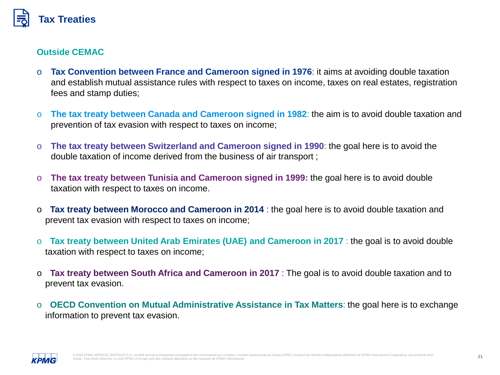

#### **Outside CEMAC**

- o **Tax Convention between France and Cameroon signed in 1976**: it aims at avoiding double taxation and establish mutual assistance rules with respect to taxes on income, taxes on real estates, registration fees and stamp duties;
- o **The tax treaty between Canada and Cameroon signed in 1982**: the aim is to avoid double taxation and prevention of tax evasion with respect to taxes on income;
- o **The tax treaty between Switzerland and Cameroon signed in 1990**: the goal here is to avoid the double taxation of income derived from the business of air transport ;
- o **The tax treaty between Tunisia and Cameroon signed in 1999:** the goal here is to avoid double taxation with respect to taxes on income.
- o **Tax treaty between Morocco and Cameroon in 2014** : the goal here is to avoid double taxation and prevent tax evasion with respect to taxes on income;
- o **Tax treaty between United Arab Emirates (UAE) and Cameroon in 2017** : the goal is to avoid double taxation with respect to taxes on income;
- o **Tax treaty between South Africa and Cameroon in 2017** : The goal is to avoid double taxation and to prevent tax evasion.
- o **OECD Convention on Mutual Administrative Assistance in Tax Matters**: the goal here is to exchange information to prevent tax evasion.

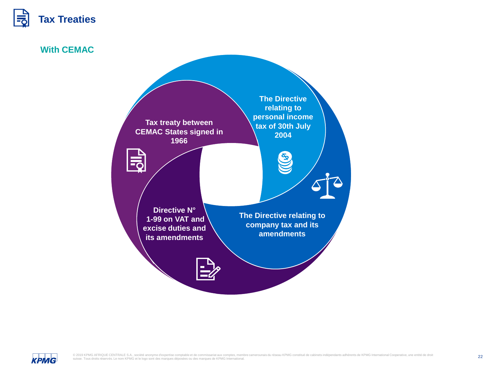

**With CEMAC** 



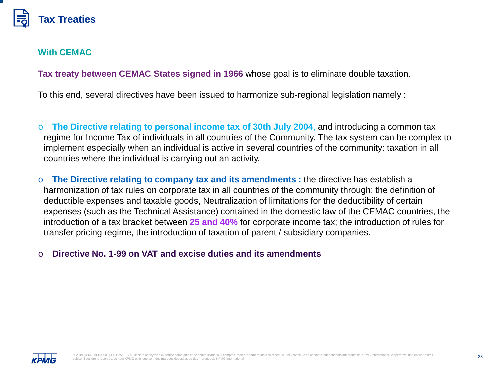

#### **With CEMAC**

**Tax treaty between CEMAC States signed in 1966** whose goal is to eliminate double taxation.

To this end, several directives have been issued to harmonize sub-regional legislation namely :

o **The Directive relating to personal income tax of 30th July 2004**, and introducing a common tax regime for Income Tax of individuals in all countries of the Community. The tax system can be complex to implement especially when an individual is active in several countries of the community: taxation in all countries where the individual is carrying out an activity.

o **The Directive relating to company tax and its amendments :** the directive has establish a harmonization of tax rules on corporate tax in all countries of the community through: the definition of deductible expenses and taxable goods, Neutralization of limitations for the deductibility of certain expenses (such as the Technical Assistance) contained in the domestic law of the CEMAC countries, the introduction of a tax bracket between **25 and 40%** for corporate income tax; the introduction of rules for transfer pricing regime, the introduction of taxation of parent / subsidiary companies.

#### o **Directive No. 1-99 on VAT and excise duties and its amendments**

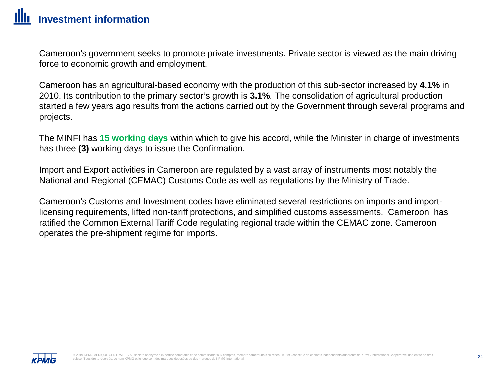Cameroon's government seeks to promote private investments. Private sector is viewed as the main driving force to economic growth and employment.

Cameroon has an agricultural-based economy with the production of this sub-sector increased by **4.1%** in 2010. Its contribution to the primary sector's growth is **3.1%**. The consolidation of agricultural production started a few years ago results from the actions carried out by the Government through several programs and projects.

The MINFI has **15 working days** within which to give his accord, while the Minister in charge of investments has three **(3)** working days to issue the Confirmation.

Import and Export activities in Cameroon are regulated by a vast array of instruments most notably the National and Regional (CEMAC) Customs Code as well as regulations by the Ministry of Trade.

Cameroon's Customs and Investment codes have eliminated several restrictions on imports and importlicensing requirements, lifted non-tariff protections, and simplified customs assessments. Cameroon has ratified the Common External Tariff Code regulating regional trade within the CEMAC zone. Cameroon operates the pre-shipment regime for imports.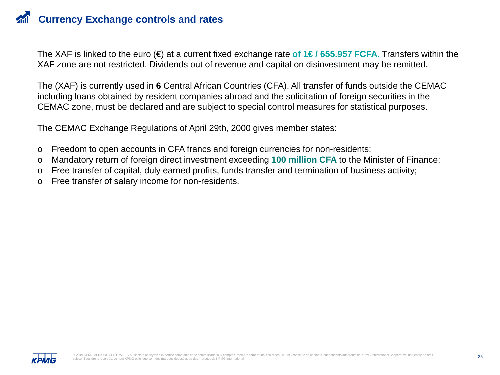The XAF is linked to the euro (€) at a current fixed exchange rate **of 1€ / 655.957 FCFA**. Transfers within the XAF zone are not restricted. Dividends out of revenue and capital on disinvestment may be remitted.

The (XAF) is currently used in **6** Central African Countries (CFA). All transfer of funds outside the CEMAC including loans obtained by resident companies abroad and the solicitation of foreign securities in the CEMAC zone, must be declared and are subject to special control measures for statistical purposes.

The CEMAC Exchange Regulations of April 29th, 2000 gives member states:

- o Freedom to open accounts in CFA francs and foreign currencies for non-residents;
- o Mandatory return of foreign direct investment exceeding **100 million CFA** to the Minister of Finance;
- o Free transfer of capital, duly earned profits, funds transfer and termination of business activity;
- o Free transfer of salary income for non-residents.

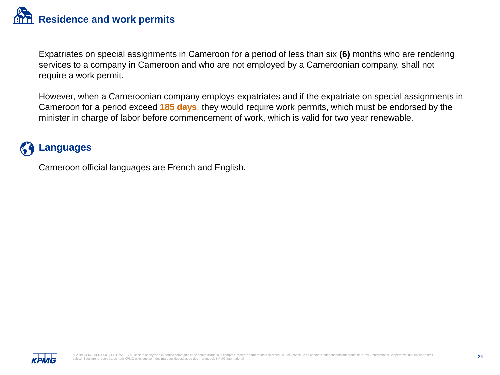Expatriates on special assignments in Cameroon for a period of less than six **(6)** months who are rendering services to a company in Cameroon and who are not employed by a Cameroonian company, shall not require a work permit.

However, when a Cameroonian company employs expatriates and if the expatriate on special assignments in Cameroon for a period exceed **185 days**, they would require work permits, which must be endorsed by the minister in charge of labor before commencement of work, which is valid for two year renewable.

# **Languages**

Cameroon official languages are French and English.

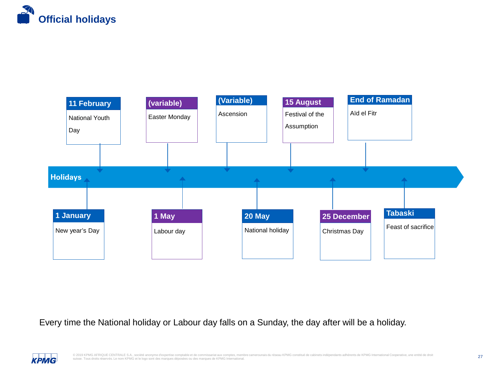



Every time the National holiday or Labour day falls on a Sunday, the day after will be a holiday.